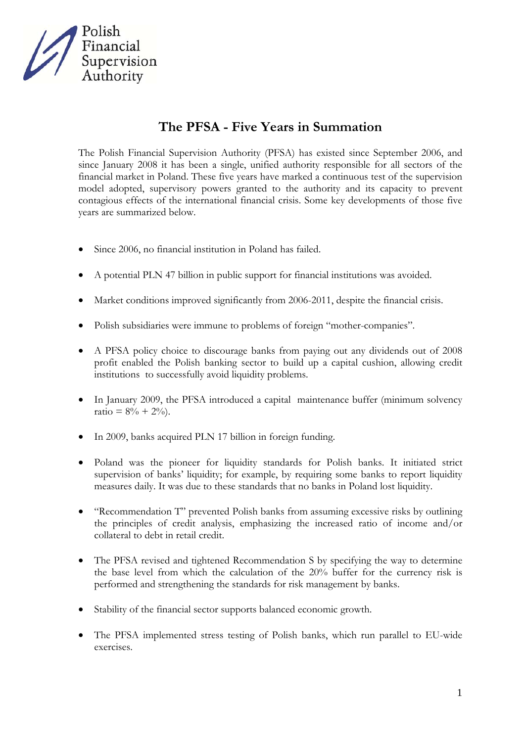

## **The PFSA - Five Years in Summation**

The Polish Financial Supervision Authority (PFSA) has existed since September 2006, and since January 2008 it has been a single, unified authority responsible for all sectors of the financial market in Poland. These five years have marked a continuous test of the supervision model adopted, supervisory powers granted to the authority and its capacity to prevent contagious effects of the international financial crisis. Some key developments of those five years are summarized below.

- Since 2006, no financial institution in Poland has failed.
- A potential PLN 47 billion in public support for financial institutions was avoided.
- Market conditions improved significantly from 2006-2011, despite the financial crisis.
- Polish subsidiaries were immune to problems of foreign "mother-companies".
- A PFSA policy choice to discourage banks from paying out any dividends out of 2008 profit enabled the Polish banking sector to build up a capital cushion, allowing credit institutions to successfully avoid liquidity problems.
- In January 2009, the PFSA introduced a capital maintenance buffer (minimum solvency ratio =  $8\% + 2\%$ .
- In 2009, banks acquired PLN 17 billion in foreign funding.
- Poland was the pioneer for liquidity standards for Polish banks. It initiated strict supervision of banks' liquidity; for example, by requiring some banks to report liquidity measures daily. It was due to these standards that no banks in Poland lost liquidity.
- "Recommendation T" prevented Polish banks from assuming excessive risks by outlining the principles of credit analysis, emphasizing the increased ratio of income and/or collateral to debt in retail credit.
- The PFSA revised and tightened Recommendation S by specifying the way to determine the base level from which the calculation of the 20% buffer for the currency risk is performed and strengthening the standards for risk management by banks.
- Stability of the financial sector supports balanced economic growth.
- The PFSA implemented stress testing of Polish banks, which run parallel to EU-wide exercises.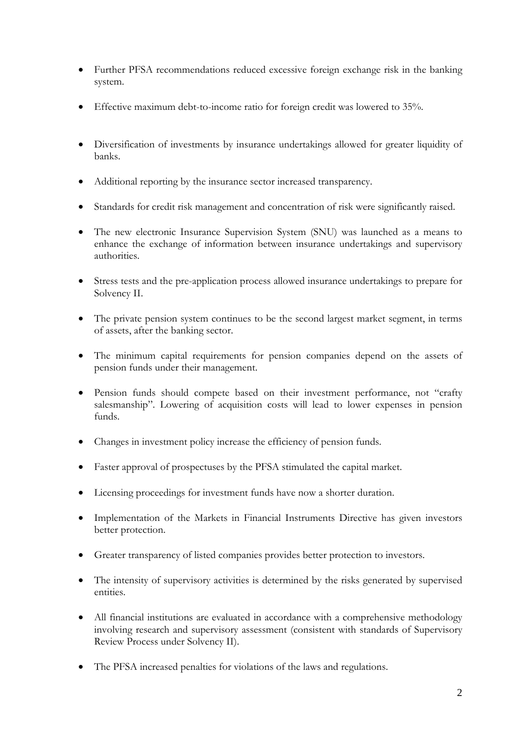- Further PFSA recommendations reduced excessive foreign exchange risk in the banking system.
- Effective maximum debt-to-income ratio for foreign credit was lowered to 35%.
- Diversification of investments by insurance undertakings allowed for greater liquidity of banks.
- Additional reporting by the insurance sector increased transparency.
- Standards for credit risk management and concentration of risk were significantly raised.
- The new electronic Insurance Supervision System (SNU) was launched as a means to enhance the exchange of information between insurance undertakings and supervisory authorities.
- Stress tests and the pre-application process allowed insurance undertakings to prepare for Solvency II.
- The private pension system continues to be the second largest market segment, in terms of assets, after the banking sector.
- The minimum capital requirements for pension companies depend on the assets of pension funds under their management.
- Pension funds should compete based on their investment performance, not "crafty salesmanship". Lowering of acquisition costs will lead to lower expenses in pension funds.
- Changes in investment policy increase the efficiency of pension funds.
- Faster approval of prospectuses by the PFSA stimulated the capital market.
- Licensing proceedings for investment funds have now a shorter duration.
- Implementation of the Markets in Financial Instruments Directive has given investors better protection.
- Greater transparency of listed companies provides better protection to investors.
- The intensity of supervisory activities is determined by the risks generated by supervised entities.
- All financial institutions are evaluated in accordance with a comprehensive methodology involving research and supervisory assessment (consistent with standards of Supervisory Review Process under Solvency II).
- The PFSA increased penalties for violations of the laws and regulations.